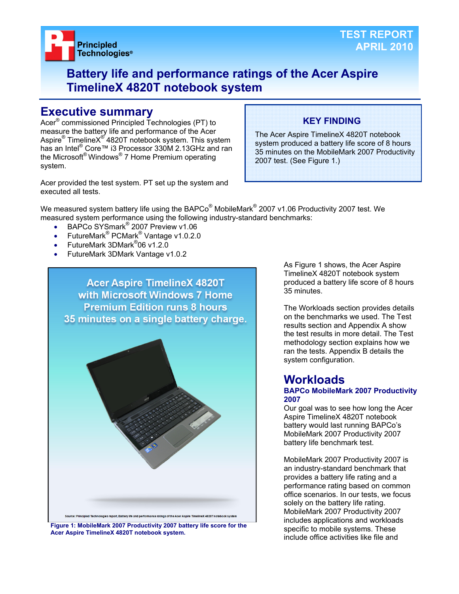

## **Battery life and performance ratings of the Acer Aspire TimelineX 4820T notebook system**

## **Executive summary**

Acer® commissioned Principled Technologies (PT) to measure the battery life and performance of the Acer Aspire® TimelineX<sup>®</sup> 4820T notebook system. This system has an Intel<sup>®</sup> Core™ i3 Processor 330M 2.13GHz and ran the Microsoft® Windows® 7 Home Premium operating system.

Acer provided the test system. PT set up the system and executed all tests.

## **KEY FINDING**

The Acer Aspire TimelineX 4820T notebook system produced a battery life score of 8 hours 35 minutes on the MobileMark 2007 Productivity 2007 test. (See Figure 1.)

We measured system battery life using the BAPCo $^{\circledast}$  MobileMark $^{\circledast}$  2007 v1.06 Productivity 2007 test. We measured system performance using the following industry-standard benchmarks:

- BAPCo SYSmark<sup>®</sup> 2007 Preview v1.06
- FutureMark<sup>®</sup> PCMark<sup>®</sup> Vantage v1.0.2.0
- FutureMark 3DMark<sup>®</sup>06 v1.2.0
- FutureMark 3DMark Vantage v1.0.2



**Figure 1: MobileMark 2007 Productivity 2007 battery life score for the Acer Aspire TimelineX 4820T notebook system.** 

As Figure 1 shows, the Acer Aspire TimelineX 4820T notebook system produced a battery life score of 8 hours 35 minutes.

The Workloads section provides details on the benchmarks we used. The Test results section and Appendix A show the test results in more detail. The Test methodology section explains how we ran the tests. Appendix B details the system configuration.

## **Workloads**

#### **BAPCo MobileMark 2007 Productivity 2007**

Our goal was to see how long the Acer Aspire TimelineX 4820T notebook battery would last running BAPCo's MobileMark 2007 Productivity 2007 battery life benchmark test.

MobileMark 2007 Productivity 2007 is an industry-standard benchmark that provides a battery life rating and a performance rating based on common office scenarios. In our tests, we focus solely on the battery life rating. MobileMark 2007 Productivity 2007 includes applications and workloads specific to mobile systems. These include office activities like file and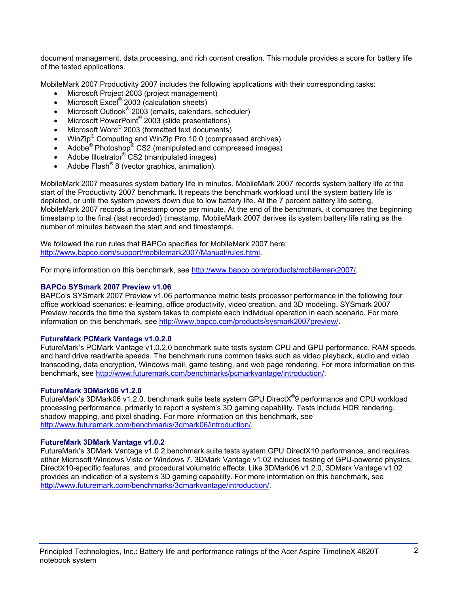document management, data processing, and rich content creation. This module provides a score for battery life of the tested applications.

MobileMark 2007 Productivity 2007 includes the following applications with their corresponding tasks:

- Microsoft Project 2003 (project management)
- Microsoft Excel<sup>®</sup> 2003 (calculation sheets)
- Microsoft Outlook<sup>®</sup> 2003 (emails, calendars, scheduler)
- Microsoft PowerPoint<sup>®</sup> 2003 (slide presentations)
- Microsoft Word® 2003 (formatted text documents)
- WinZip<sup>®</sup> Computing and WinZip Pro 10.0 (compressed archives)
- Adobe<sup>®</sup> Photoshop<sup>®</sup> CS2 (manipulated and compressed images)
- Adobe Illustrator<sup>®</sup> CS2 (manipulated images)
- Adobe Flash<sup>®</sup> 8 (vector graphics, animation).

MobileMark 2007 measures system battery life in minutes. MobileMark 2007 records system battery life at the start of the Productivity 2007 benchmark. It repeats the benchmark workload until the system battery life is depleted, or until the system powers down due to low battery life. At the 7 percent battery life setting, MobileMark 2007 records a timestamp once per minute. At the end of the benchmark, it compares the beginning timestamp to the final (last recorded) timestamp. MobileMark 2007 derives its system battery life rating as the number of minutes between the start and end timestamps.

We followed the run rules that BAPCo specifies for MobileMark 2007 here: http://www.bapco.com/support/mobilemark2007/Manual/rules.html.

For more information on this benchmark, see http://www.bapco.com/products/mobilemark2007/.

## **BAPCo SYSmark 2007 Preview v1.06**

BAPCo's SYSmark 2007 Preview v1.06 performance metric tests processor performance in the following four office workload scenarios: e-learning, office productivity, video creation, and 3D modeling. SYSmark 2007 Preview records the time the system takes to complete each individual operation in each scenario. For more information on this benchmark, see http://www.bapco.com/products/sysmark2007preview/.

## **FutureMark PCMark Vantage v1.0.2.0**

FutureMark's PCMark Vantage v1.0.2.0 benchmark suite tests system CPU and GPU performance, RAM speeds, and hard drive read/write speeds. The benchmark runs common tasks such as video playback, audio and video transcoding, data encryption, Windows mail, game testing, and web page rendering. For more information on this benchmark, see http://www.futuremark.com/benchmarks/pcmarkvantage/introduction/.

## **FutureMark 3DMark06 v1.2.0**

FutureMark's 3DMark06 v1.2.0. benchmark suite tests system GPU DirectX<sup>®</sup>9 performance and CPU workload processing performance, primarily to report a system's 3D gaming capability. Tests include HDR rendering, shadow mapping, and pixel shading. For more information on this benchmark, see http://www.futuremark.com/benchmarks/3dmark06/introduction/.

#### **FutureMark 3DMark Vantage v1.0.2**

FutureMark's 3DMark Vantage v1.0.2 benchmark suite tests system GPU DirectX10 performance, and requires either Microsoft Windows Vista or Windows 7. 3DMark Vantage v1.02 includes testing of GPU-powered physics, DirectX10-specific features, and procedural volumetric effects. Like 3DMark06 v1.2.0, 3DMark Vantage v1.02 provides an indication of a system's 3D gaming capability. For more information on this benchmark, see http://www.futuremark.com/benchmarks/3dmarkvantage/introduction/.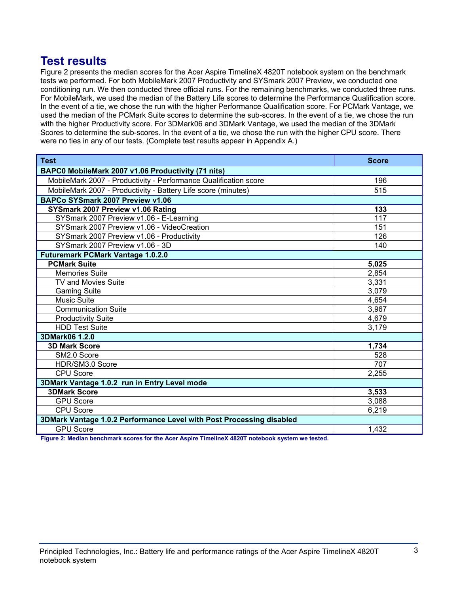## **Test results**

Figure 2 presents the median scores for the Acer Aspire TimelineX 4820T notebook system on the benchmark tests we performed. For both MobileMark 2007 Productivity and SYSmark 2007 Preview, we conducted one conditioning run. We then conducted three official runs. For the remaining benchmarks, we conducted three runs. For MobileMark, we used the median of the Battery Life scores to determine the Performance Qualification score. In the event of a tie, we chose the run with the higher Performance Qualification score. For PCMark Vantage, we used the median of the PCMark Suite scores to determine the sub-scores. In the event of a tie, we chose the run with the higher Productivity score. For 3DMark06 and 3DMark Vantage, we used the median of the 3DMark Scores to determine the sub-scores. In the event of a tie, we chose the run with the higher CPU score. There were no ties in any of our tests. (Complete test results appear in Appendix A.)

| <b>Test</b>                                                          | <b>Score</b> |  |
|----------------------------------------------------------------------|--------------|--|
| BAPC0 MobileMark 2007 v1.06 Productivity (71 nits)                   |              |  |
| MobileMark 2007 - Productivity - Performance Qualification score     | 196          |  |
| MobileMark 2007 - Productivity - Battery Life score (minutes)        | 515          |  |
| BAPCo SYSmark 2007 Preview v1.06                                     |              |  |
| SYSmark 2007 Preview v1.06 Rating                                    | 133          |  |
| SYSmark 2007 Preview v1.06 - E-Learning                              | 117          |  |
| SYSmark 2007 Preview v1.06 - VideoCreation                           | 151          |  |
| SYSmark 2007 Preview v1.06 - Productivity                            | 126          |  |
| SYSmark 2007 Preview v1.06 - 3D                                      | 140          |  |
| <b>Futuremark PCMark Vantage 1.0.2.0</b>                             |              |  |
| <b>PCMark Suite</b>                                                  | 5,025        |  |
| <b>Memories Suite</b>                                                | 2,854        |  |
| TV and Movies Suite                                                  | 3,331        |  |
| <b>Gaming Suite</b>                                                  | 3,079        |  |
| <b>Music Suite</b>                                                   | 4,654        |  |
| <b>Communication Suite</b>                                           | 3,967        |  |
| <b>Productivity Suite</b>                                            | 4,679        |  |
| <b>HDD Test Suite</b>                                                | 3,179        |  |
| 3DMark06 1.2.0                                                       |              |  |
| <b>3D Mark Score</b>                                                 | 1,734        |  |
| SM2.0 Score                                                          | 528          |  |
| HDR/SM3.0 Score                                                      | 707          |  |
| <b>CPU Score</b>                                                     | 2,255        |  |
| 3DMark Vantage 1.0.2 run in Entry Level mode                         |              |  |
| <b>3DMark Score</b>                                                  | 3,533        |  |
| <b>GPU Score</b>                                                     | 3,088        |  |
| <b>CPU Score</b>                                                     | 6,219        |  |
| 3DMark Vantage 1.0.2 Performance Level with Post Processing disabled |              |  |
| <b>GPU Score</b>                                                     | 1,432        |  |

**Figure 2: Median benchmark scores for the Acer Aspire TimelineX 4820T notebook system we tested.**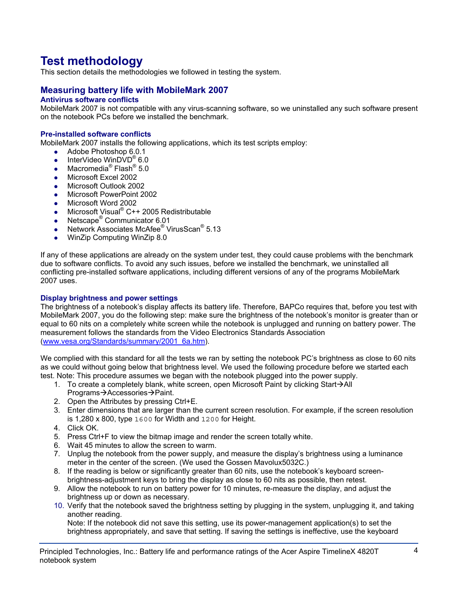# **Test methodology**

This section details the methodologies we followed in testing the system.

## **Measuring battery life with MobileMark 2007**

## **Antivirus software conflicts**

MobileMark 2007 is not compatible with any virus-scanning software, so we uninstalled any such software present on the notebook PCs before we installed the benchmark.

#### **Pre-installed software conflicts**

MobileMark 2007 installs the following applications, which its test scripts employ:

- $\bullet$  Adobe Photoshop 6.0.1
- InterVideo WinDVD<sup>®</sup> 6.0
- Macromedia<sup>®</sup> Flash<sup>®</sup> 5.0
- Microsoft Excel 2002
- Microsoft Outlook 2002
- Microsoft PowerPoint 2002
- Microsoft Word 2002
- Microsoft Visual® C++ 2005 Redistributable
- Netscape<sup>®</sup> Communicator 6.01
- Network Associates McAfee<sup>®</sup> VirusScan<sup>®</sup> 5.13
- WinZip Computing WinZip 8.0

If any of these applications are already on the system under test, they could cause problems with the benchmark due to software conflicts. To avoid any such issues, before we installed the benchmark, we uninstalled all conflicting pre-installed software applications, including different versions of any of the programs MobileMark 2007 uses.

#### **Display brightness and power settings**

The brightness of a notebook's display affects its battery life. Therefore, BAPCo requires that, before you test with MobileMark 2007, you do the following step: make sure the brightness of the notebook's monitor is greater than or equal to 60 nits on a completely white screen while the notebook is unplugged and running on battery power. The measurement follows the standards from the Video Electronics Standards Association (www.vesa.org/Standards/summary/2001\_6a.htm).

We complied with this standard for all the tests we ran by setting the notebook PC's brightness as close to 60 nits as we could without going below that brightness level. We used the following procedure before we started each test. Note: This procedure assumes we began with the notebook plugged into the power supply.

- 1. To create a completely blank, white screen, open Microsoft Paint by clicking Start $\rightarrow$ All Programs→Accessories→Paint.
- 2. Open the Attributes by pressing Ctrl+E.
- 3. Enter dimensions that are larger than the current screen resolution. For example, if the screen resolution is 1,280 x 800, type 1600 for Width and 1200 for Height.
- 4. Click OK.
- 5. Press Ctrl+F to view the bitmap image and render the screen totally white.
- 6. Wait 45 minutes to allow the screen to warm.
- 7. Unplug the notebook from the power supply, and measure the display's brightness using a luminance meter in the center of the screen. (We used the Gossen Mavolux5032C.)
- 8. If the reading is below or significantly greater than 60 nits, use the notebook's keyboard screenbrightness-adjustment keys to bring the display as close to 60 nits as possible, then retest.
- 9. Allow the notebook to run on battery power for 10 minutes, re-measure the display, and adjust the brightness up or down as necessary.
- 10. Verify that the notebook saved the brightness setting by plugging in the system, unplugging it, and taking another reading.

Note: If the notebook did not save this setting, use its power-management application(s) to set the brightness appropriately, and save that setting. If saving the settings is ineffective, use the keyboard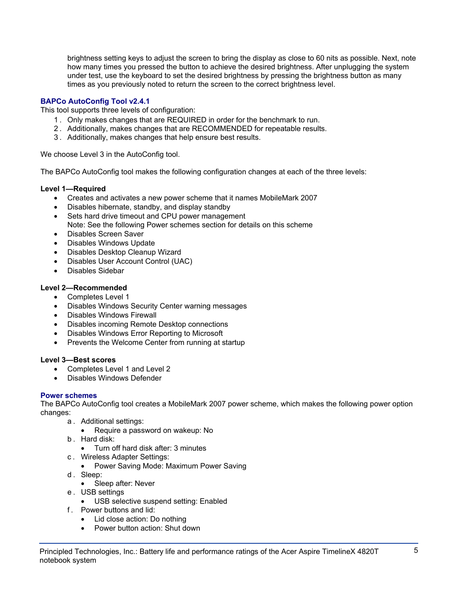brightness setting keys to adjust the screen to bring the display as close to 60 nits as possible. Next, note how many times you pressed the button to achieve the desired brightness. After unplugging the system under test, use the keyboard to set the desired brightness by pressing the brightness button as many times as you previously noted to return the screen to the correct brightness level.

## **BAPCo AutoConfig Tool v2.4.1**

This tool supports three levels of configuration:

- 1 . Only makes changes that are REQUIRED in order for the benchmark to run.
- 2 . Additionally, makes changes that are RECOMMENDED for repeatable results.
- 3 . Additionally, makes changes that help ensure best results.

We choose Level 3 in the AutoConfig tool.

The BAPCo AutoConfig tool makes the following configuration changes at each of the three levels:

## **Level 1—Required**

- Creates and activates a new power scheme that it names MobileMark 2007
- Disables hibernate, standby, and display standby
- Sets hard drive timeout and CPU power management Note: See the following Power schemes section for details on this scheme
- Disables Screen Saver
- Disables Windows Update
- Disables Desktop Cleanup Wizard
- Disables User Account Control (UAC)
- Disables Sidebar

## **Level 2—Recommended**

- Completes Level 1
- Disables Windows Security Center warning messages
- Disables Windows Firewall
- Disables incoming Remote Desktop connections
- Disables Windows Error Reporting to Microsoft
- Prevents the Welcome Center from running at startup

## **Level 3—Best scores**

- Completes Level 1 and Level 2
- Disables Windows Defender

## **Power schemes**

The BAPCo AutoConfig tool creates a MobileMark 2007 power scheme, which makes the following power option changes:

- a . Additional settings:
	- Require a password on wakeup: No
- b . Hard disk:
	- Turn off hard disk after: 3 minutes
- c . Wireless Adapter Settings:
	- Power Saving Mode: Maximum Power Saving
- d. Sleep:
	- Sleep after: Never
- e . USB settings
	- USB selective suspend setting: Enabled
- f . Power buttons and lid:
	- Lid close action: Do nothing
	- Power button action: Shut down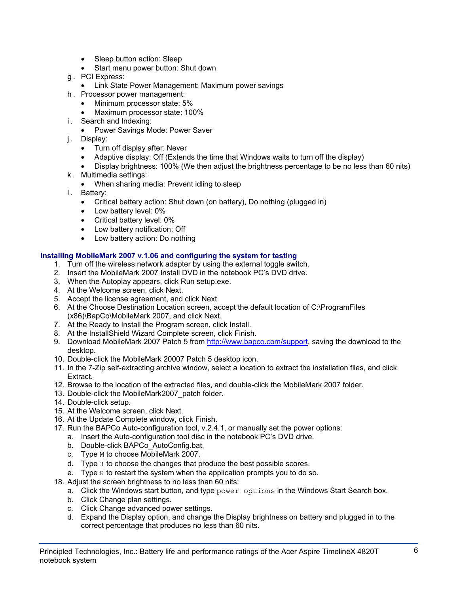- Sleep button action: Sleep
- Start menu power button: Shut down
- g . PCI Express:
	- Link State Power Management: Maximum power savings
- h . Processor power management:
	- Minimum processor state: 5%
	- Maximum processor state: 100%
- i. Search and Indexing:
	- Power Savings Mode: Power Saver
- j. Display:
	- Turn off display after: Never
	- Adaptive display: Off (Extends the time that Windows waits to turn off the display)
	- Display brightness: 100% (We then adjust the brightness percentage to be no less than 60 nits)
- k . Multimedia settings:
	- When sharing media: Prevent idling to sleep
- l. Battery:
	- Critical battery action: Shut down (on battery), Do nothing (plugged in)
	- Low battery level: 0%
	- Critical battery level: 0%
	- Low battery notification: Off
	- Low battery action: Do nothing

## **Installing MobileMark 2007 v.1.06 and configuring the system for testing**

- 1. Turn off the wireless network adapter by using the external toggle switch.
- 2. Insert the MobileMark 2007 Install DVD in the notebook PC's DVD drive.
- 3. When the Autoplay appears, click Run setup.exe.
- 4. At the Welcome screen, click Next.
- 5. Accept the license agreement, and click Next.
- 6. At the Choose Destination Location screen, accept the default location of C:\ProgramFiles (x86)\BapCo\MobileMark 2007, and click Next.
- 7. At the Ready to Install the Program screen, click Install.
- 8. At the InstallShield Wizard Complete screen, click Finish.
- 9. Download MobileMark 2007 Patch 5 from http://www.bapco.com/support, saving the download to the desktop.
- 10. Double-click the MobileMark 20007 Patch 5 desktop icon.
- 11. In the 7-Zip self-extracting archive window, select a location to extract the installation files, and click Extract.
- 12. Browse to the location of the extracted files, and double-click the MobileMark 2007 folder.
- 13. Double-click the MobileMark2007\_patch folder.
- 14. Double-click setup.
- 15. At the Welcome screen, click Next.
- 16. At the Update Complete window, click Finish.
- 17. Run the BAPCo Auto-configuration tool, v.2.4.1, or manually set the power options:
	- a. Insert the Auto-configuration tool disc in the notebook PC's DVD drive.
	- b. Double-click BAPCo\_AutoConfig.bat.
	- c. Type M to choose MobileMark 2007.
	- d. Type 3 to choose the changes that produce the best possible scores.
	- e. Type R to restart the system when the application prompts you to do so.
- 18. Adjust the screen brightness to no less than 60 nits:
	- a. Click the Windows start button, and type power options in the Windows Start Search box.
	- b. Click Change plan settings.
	- c. Click Change advanced power settings.
	- d. Expand the Display option, and change the Display brightness on battery and plugged in to the correct percentage that produces no less than 60 nits.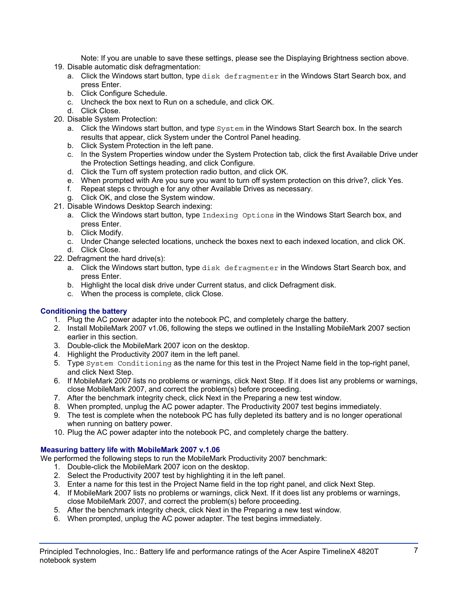Note: If you are unable to save these settings, please see the Displaying Brightness section above.

- 19. Disable automatic disk defragmentation:
	- a. Click the Windows start button, type disk defragmenter in the Windows Start Search box, and press Enter.
	- b. Click Configure Schedule.
	- c. Uncheck the box next to Run on a schedule, and click OK.
	- d. Click Close.
- 20. Disable System Protection:
	- a. Click the Windows start button, and type  $System$  in the Windows Start Search box. In the search results that appear, click System under the Control Panel heading.
	- b. Click System Protection in the left pane.
	- c. In the System Properties window under the System Protection tab, click the first Available Drive under the Protection Settings heading, and click Configure.
	- d. Click the Turn off system protection radio button, and click OK.
	- e. When prompted with Are you sure you want to turn off system protection on this drive?, click Yes.
	- f. Repeat steps c through e for any other Available Drives as necessary.
	- g. Click OK, and close the System window.
- 21. Disable Windows Desktop Search indexing:
	- a. Click the Windows start button, type Indexing Options in the Windows Start Search box, and press Enter.
	- b. Click Modify.
	- c. Under Change selected locations, uncheck the boxes next to each indexed location, and click OK. d. Click Close.
- 22. Defragment the hard drive(s):
	- a. Click the Windows start button, type disk defragmenter in the Windows Start Search box, and press Enter.
	- b. Highlight the local disk drive under Current status, and click Defragment disk.
	- c. When the process is complete, click Close.

## **Conditioning the battery**

- 1. Plug the AC power adapter into the notebook PC, and completely charge the battery.
- 2. Install MobileMark 2007 v1.06, following the steps we outlined in the Installing MobileMark 2007 section earlier in this section.
- 3. Double-click the MobileMark 2007 icon on the desktop.
- 4. Highlight the Productivity 2007 item in the left panel.
- 5. Type System Conditioning as the name for this test in the Project Name field in the top-right panel, and click Next Step.
- 6. If MobileMark 2007 lists no problems or warnings, click Next Step. If it does list any problems or warnings, close MobileMark 2007, and correct the problem(s) before proceeding.
- 7. After the benchmark integrity check, click Next in the Preparing a new test window.
- 8. When prompted, unplug the AC power adapter. The Productivity 2007 test begins immediately.
- 9. The test is complete when the notebook PC has fully depleted its battery and is no longer operational when running on battery power.
- 10. Plug the AC power adapter into the notebook PC, and completely charge the battery.

## **Measuring battery life with MobileMark 2007 v.1.06**

We performed the following steps to run the MobileMark Productivity 2007 benchmark:

- 1. Double-click the MobileMark 2007 icon on the desktop.
- 2. Select the Productivity 2007 test by highlighting it in the left panel.
- 3. Enter a name for this test in the Project Name field in the top right panel, and click Next Step.
- 4. If MobileMark 2007 lists no problems or warnings, click Next. If it does list any problems or warnings, close MobileMark 2007, and correct the problem(s) before proceeding.
- 5. After the benchmark integrity check, click Next in the Preparing a new test window.
- 6. When prompted, unplug the AC power adapter. The test begins immediately.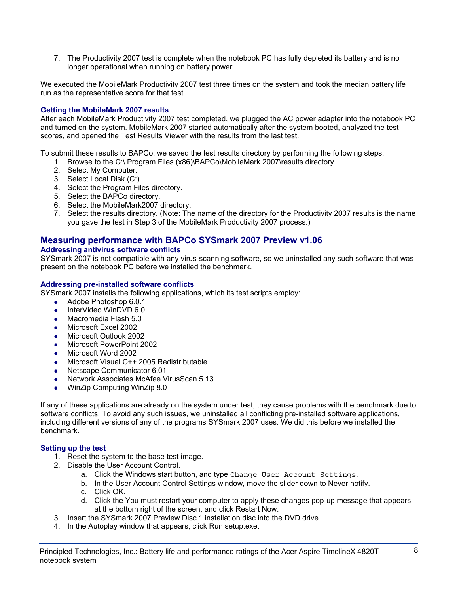7. The Productivity 2007 test is complete when the notebook PC has fully depleted its battery and is no longer operational when running on battery power.

We executed the MobileMark Productivity 2007 test three times on the system and took the median battery life run as the representative score for that test.

## **Getting the MobileMark 2007 results**

After each MobileMark Productivity 2007 test completed, we plugged the AC power adapter into the notebook PC and turned on the system. MobileMark 2007 started automatically after the system booted, analyzed the test scores, and opened the Test Results Viewer with the results from the last test.

To submit these results to BAPCo, we saved the test results directory by performing the following steps:

- 1. Browse to the C:\ Program Files (x86)\BAPCo\MobileMark 2007\results directory.
- 2. Select My Computer.
- 3. Select Local Disk (C:).
- 4. Select the Program Files directory.
- 5. Select the BAPCo directory.
- 6. Select the MobileMark2007 directory.
- 7. Select the results directory. (Note: The name of the directory for the Productivity 2007 results is the name you gave the test in Step 3 of the MobileMark Productivity 2007 process.)

## **Measuring performance with BAPCo SYSmark 2007 Preview v1.06**

#### **Addressing antivirus software conflicts**

SYSmark 2007 is not compatible with any virus-scanning software, so we uninstalled any such software that was present on the notebook PC before we installed the benchmark.

#### **Addressing pre-installed software conflicts**

SYSmark 2007 installs the following applications, which its test scripts employ:

- $\bullet$  Adobe Photoshop 6.0.1
- InterVideo WinDVD 6.0
- Macromedia Flash 5.0
- Microsoft Excel 2002
- Microsoft Outlook 2002
- Microsoft PowerPoint 2002
- Microsoft Word 2002
- Microsoft Visual C++ 2005 Redistributable
- Netscape Communicator 6.01
- Network Associates McAfee VirusScan 5.13
- WinZip Computing WinZip 8.0

If any of these applications are already on the system under test, they cause problems with the benchmark due to software conflicts. To avoid any such issues, we uninstalled all conflicting pre-installed software applications, including different versions of any of the programs SYSmark 2007 uses. We did this before we installed the benchmark.

## **Setting up the test**

- 1. Reset the system to the base test image.
- 2. Disable the User Account Control.
	- a. Click the Windows start button, and type Change User Account Settings.
	- b. In the User Account Control Settings window, move the slider down to Never notify.
	- c. Click OK.
	- d. Click the You must restart your computer to apply these changes pop-up message that appears at the bottom right of the screen, and click Restart Now.
- 3. Insert the SYSmark 2007 Preview Disc 1 installation disc into the DVD drive.
- 4. In the Autoplay window that appears, click Run setup.exe.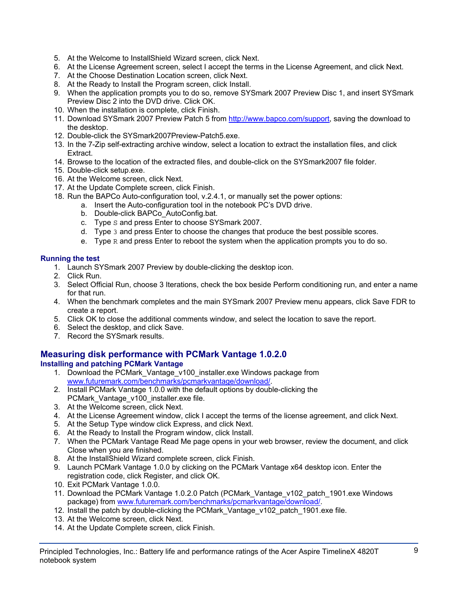- 5. At the Welcome to InstallShield Wizard screen, click Next.
- 6. At the License Agreement screen, select I accept the terms in the License Agreement, and click Next.
- 7. At the Choose Destination Location screen, click Next.
- 8. At the Ready to Install the Program screen, click Install.
- 9. When the application prompts you to do so, remove SYSmark 2007 Preview Disc 1, and insert SYSmark Preview Disc 2 into the DVD drive. Click OK.
- 10. When the installation is complete, click Finish.
- 11. Download SYSmark 2007 Preview Patch 5 from http://www.bapco.com/support, saving the download to the desktop.
- 12. Double-click the SYSmark2007Preview-Patch5.exe.
- 13. In the 7-Zip self-extracting archive window, select a location to extract the installation files, and click Extract.
- 14. Browse to the location of the extracted files, and double-click on the SYSmark2007 file folder.
- 15. Double-click setup.exe.
- 16. At the Welcome screen, click Next.
- 17. At the Update Complete screen, click Finish.
- 18. Run the BAPCo Auto-configuration tool, v.2.4.1, or manually set the power options:
	- a. Insert the Auto-configuration tool in the notebook PC's DVD drive.
		- b. Double-click BAPCo\_AutoConfig.bat.
		- c. Type S and press Enter to choose SYSmark 2007.
		- d. Type 3 and press Enter to choose the changes that produce the best possible scores.
		- e. Type  $R$  and press Enter to reboot the system when the application prompts you to do so.

## **Running the test**

- 1. Launch SYSmark 2007 Preview by double-clicking the desktop icon.
- 2. Click Run.
- 3. Select Official Run, choose 3 Iterations, check the box beside Perform conditioning run, and enter a name for that run.
- 4. When the benchmark completes and the main SYSmark 2007 Preview menu appears, click Save FDR to create a report.
- 5. Click OK to close the additional comments window, and select the location to save the report.
- 6. Select the desktop, and click Save.
- 7. Record the SYSmark results.

## **Measuring disk performance with PCMark Vantage 1.0.2.0**

## **Installing and patching PCMark Vantage**

- 1. Download the PCMark\_Vantage\_v100\_installer.exe Windows package from www.futuremark.com/benchmarks/pcmarkvantage/download/.
- 2. Install PCMark Vantage 1.0.0 with the default options by double-clicking the PCMark\_Vantage\_v100\_installer.exe file.
- 3. At the Welcome screen, click Next.
- 4. At the License Agreement window, click I accept the terms of the license agreement, and click Next.
- 5. At the Setup Type window click Express, and click Next.
- 6. At the Ready to Install the Program window, click Install.
- 7. When the PCMark Vantage Read Me page opens in your web browser, review the document, and click Close when you are finished.
- 8. At the InstallShield Wizard complete screen, click Finish.
- 9. Launch PCMark Vantage 1.0.0 by clicking on the PCMark Vantage x64 desktop icon. Enter the registration code, click Register, and click OK.
- 10. Exit PCMark Vantage 1.0.0.
- 11. Download the PCMark Vantage 1.0.2.0 Patch (PCMark\_Vantage\_v102\_patch\_1901.exe Windows package) from www.futuremark.com/benchmarks/pcmarkvantage/download/.
- 12. Install the patch by double-clicking the PCMark Vantage v102 patch 1901.exe file.
- 13. At the Welcome screen, click Next.
- 14. At the Update Complete screen, click Finish.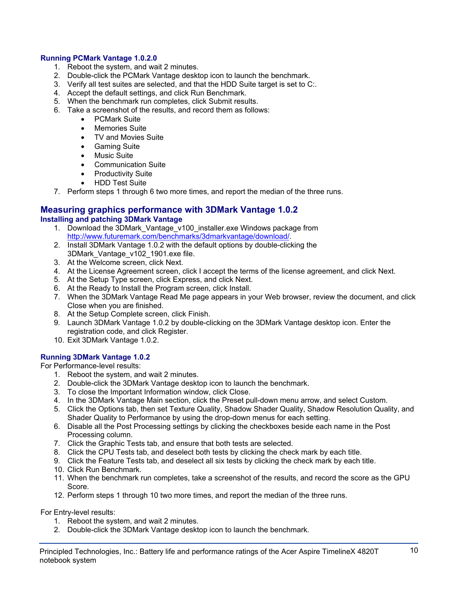## **Running PCMark Vantage 1.0.2.0**

- 1. Reboot the system, and wait 2 minutes.
- 2. Double-click the PCMark Vantage desktop icon to launch the benchmark.
- 3. Verify all test suites are selected, and that the HDD Suite target is set to C:.
- 4. Accept the default settings, and click Run Benchmark.
- 5. When the benchmark run completes, click Submit results.
- 6. Take a screenshot of the results, and record them as follows:
	- PCMark Suite
	- Memories Suite
	- TV and Movies Suite
	- Gaming Suite
	- Music Suite
	- Communication Suite
	- Productivity Suite
	- HDD Test Suite
- 7. Perform steps 1 through 6 two more times, and report the median of the three runs.

#### **Measuring graphics performance with 3DMark Vantage 1.0.2 Installing and patching 3DMark Vantage**

- 1. Download the 3DMark\_Vantage\_v100\_installer.exe Windows package from http://www.futuremark.com/benchmarks/3dmarkvantage/download/.
- 2. Install 3DMark Vantage 1.0.2 with the default options by double-clicking the 3DMark\_Vantage\_v102\_1901.exe file.
- 3. At the Welcome screen, click Next.
- 4. At the License Agreement screen, click I accept the terms of the license agreement, and click Next.
- 5. At the Setup Type screen, click Express, and click Next.
- 6. At the Ready to Install the Program screen, click Install.
- 7. When the 3DMark Vantage Read Me page appears in your Web browser, review the document, and click Close when you are finished.
- 8. At the Setup Complete screen, click Finish.
- 9. Launch 3DMark Vantage 1.0.2 by double-clicking on the 3DMark Vantage desktop icon. Enter the registration code, and click Register.
- 10. Exit 3DMark Vantage 1.0.2.

## **Running 3DMark Vantage 1.0.2**

For Performance-level results:

- 1. Reboot the system, and wait 2 minutes.
- 2. Double-click the 3DMark Vantage desktop icon to launch the benchmark.
- 3. To close the Important Information window, click Close.
- 4. In the 3DMark Vantage Main section, click the Preset pull-down menu arrow, and select Custom.
- 5. Click the Options tab, then set Texture Quality, Shadow Shader Quality, Shadow Resolution Quality, and Shader Quality to Performance by using the drop-down menus for each setting.
- 6. Disable all the Post Processing settings by clicking the checkboxes beside each name in the Post Processing column.
- 7. Click the Graphic Tests tab, and ensure that both tests are selected.
- 8. Click the CPU Tests tab, and deselect both tests by clicking the check mark by each title.
- 9. Click the Feature Tests tab, and deselect all six tests by clicking the check mark by each title.
- 10. Click Run Benchmark.
- 11. When the benchmark run completes, take a screenshot of the results, and record the score as the GPU Score.
- 12. Perform steps 1 through 10 two more times, and report the median of the three runs.

For Entry-level results:

- 1. Reboot the system, and wait 2 minutes.
- 2. Double-click the 3DMark Vantage desktop icon to launch the benchmark.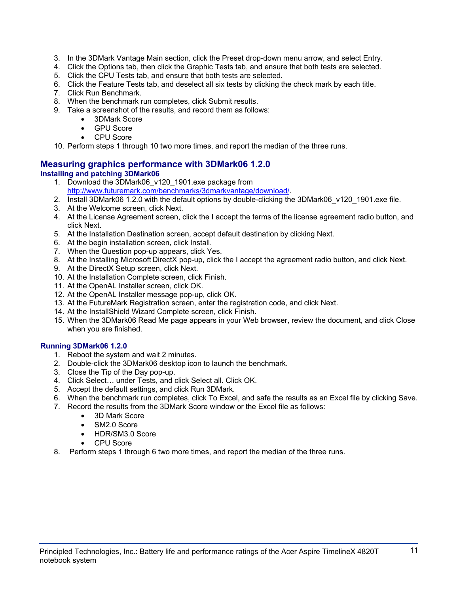- 3. In the 3DMark Vantage Main section, click the Preset drop-down menu arrow, and select Entry.
- 4. Click the Options tab, then click the Graphic Tests tab, and ensure that both tests are selected.
- 5. Click the CPU Tests tab, and ensure that both tests are selected.
- 6. Click the Feature Tests tab, and deselect all six tests by clicking the check mark by each title.
- 7. Click Run Benchmark.
- 8. When the benchmark run completes, click Submit results.
- 9. Take a screenshot of the results, and record them as follows:
	- 3DMark Score
	- **GPU Score**
	- CPU Score

10. Perform steps 1 through 10 two more times, and report the median of the three runs.

## **Measuring graphics performance with 3DMark06 1.2.0 Installing and patching 3DMark06**

- 1. Download the 3DMark06\_v120\_1901.exe package from http://www.futuremark.com/benchmarks/3dmarkvantage/download/.
- 2. Install 3DMark06 1.2.0 with the default options by double-clicking the 3DMark06 v120 1901.exe file.
- 3. At the Welcome screen, click Next.
- 4. At the License Agreement screen, click the I accept the terms of the license agreement radio button, and click Next.
- 5. At the Installation Destination screen, accept default destination by clicking Next.
- 6. At the begin installation screen, click Install.
- 7. When the Question pop-up appears, click Yes.
- 8. At the Installing Microsoft DirectX pop-up, click the I accept the agreement radio button, and click Next.
- 9. At the DirectX Setup screen, click Next.
- 10. At the Installation Complete screen, click Finish.
- 11. At the OpenAL Installer screen, click OK.
- 12. At the OpenAL Installer message pop-up, click OK.
- 13. At the FutureMark Registration screen, enter the registration code, and click Next.
- 14. At the InstallShield Wizard Complete screen, click Finish.
- 15. When the 3DMark06 Read Me page appears in your Web browser, review the document, and click Close when you are finished.

## **Running 3DMark06 1.2.0**

- 1. Reboot the system and wait 2 minutes.
- 2. Double-click the 3DMark06 desktop icon to launch the benchmark.
- 3. Close the Tip of the Day pop-up.
- 4. Click Select… under Tests, and click Select all. Click OK.
- 5. Accept the default settings, and click Run 3DMark.
- 6. When the benchmark run completes, click To Excel, and safe the results as an Excel file by clicking Save.
- 7. Record the results from the 3DMark Score window or the Excel file as follows:
	- 3D Mark Score
	- SM2.0 Score
	- HDR/SM3.0 Score
	- CPU Score
- 8. Perform steps 1 through 6 two more times, and report the median of the three runs.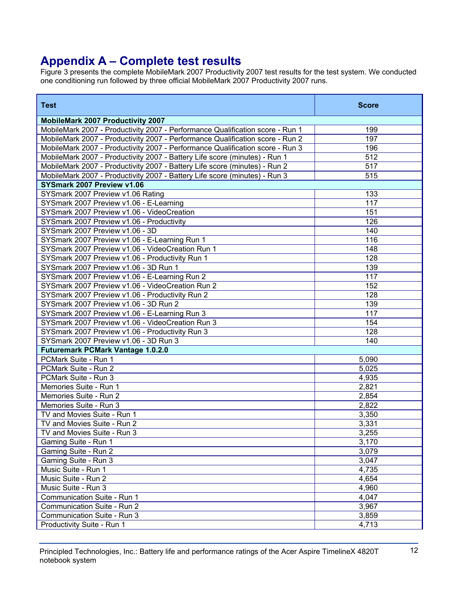## **Appendix A – Complete test results**

Figure 3 presents the complete MobileMark 2007 Productivity 2007 test results for the test system. We conducted one conditioning run followed by three official MobileMark 2007 Productivity 2007 runs.

| <b>Test</b>                                                                   | <b>Score</b>     |
|-------------------------------------------------------------------------------|------------------|
| <b>MobileMark 2007 Productivity 2007</b>                                      |                  |
| MobileMark 2007 - Productivity 2007 - Performance Qualification score - Run 1 | 199              |
| MobileMark 2007 - Productivity 2007 - Performance Qualification score - Run 2 | 197              |
| MobileMark 2007 - Productivity 2007 - Performance Qualification score - Run 3 | 196              |
| MobileMark 2007 - Productivity 2007 - Battery Life score (minutes) - Run 1    | $\overline{512}$ |
| MobileMark 2007 - Productivity 2007 - Battery Life score (minutes) - Run 2    | 517              |
| MobileMark 2007 - Productivity 2007 - Battery Life score (minutes) - Run 3    | 515              |
| SYSmark 2007 Preview v1.06                                                    |                  |
| SYSmark 2007 Preview v1.06 Rating                                             | 133              |
| SYSmark 2007 Preview v1.06 - E-Learning                                       | 117              |
| SYSmark 2007 Preview v1.06 - VideoCreation                                    | 151              |
| SYSmark 2007 Preview v1.06 - Productivity                                     | 126              |
| SYSmark 2007 Preview v1.06 - 3D                                               | 140              |
| SYSmark 2007 Preview v1.06 - E-Learning Run 1                                 | 116              |
| SYSmark 2007 Preview v1.06 - VideoCreation Run 1                              | 148              |
| SYSmark 2007 Preview v1.06 - Productivity Run 1                               | 128              |
| SYSmark 2007 Preview v1.06 - 3D Run 1                                         | 139              |
| SYSmark 2007 Preview v1.06 - E-Learning Run 2                                 | 117              |
| SYSmark 2007 Preview v1.06 - VideoCreation Run 2                              | 152              |
| SYSmark 2007 Preview v1.06 - Productivity Run 2                               | 128              |
| SYSmark 2007 Preview v1.06 - 3D Run 2                                         | 139              |
| SYSmark 2007 Preview v1.06 - E-Learning Run 3                                 | 117              |
| SYSmark 2007 Preview v1.06 - VideoCreation Run 3                              | 154              |
| SYSmark 2007 Preview v1.06 - Productivity Run 3                               | 128              |
| SYSmark 2007 Preview v1.06 - 3D Run 3                                         | 140              |
| <b>Futuremark PCMark Vantage 1.0.2.0</b>                                      |                  |
| PCMark Suite - Run 1                                                          | 5,090            |
| PCMark Suite - Run 2                                                          | 5,025            |
| PCMark Suite - Run 3                                                          | 4,935            |
| Memories Suite - Run 1                                                        | 2,821            |
| Memories Suite - Run 2                                                        | 2,854            |
| Memories Suite - Run 3                                                        | 2,822            |
| TV and Movies Suite - Run 1                                                   | 3,350            |
| TV and Movies Suite - Run 2                                                   | 3,331            |
| TV and Movies Suite - Run 3                                                   | 3,255            |
| Gaming Suite - Run 1                                                          | 3,170            |
| Gaming Suite - Run 2                                                          | 3,079            |
| Gaming Suite - Run 3                                                          | 3,047            |
| Music Suite - Run 1                                                           | 4,735            |
| Music Suite - Run 2                                                           | 4,654            |
| Music Suite - Run 3                                                           | 4,960            |
| Communication Suite - Run 1                                                   | 4,047            |
| Communication Suite - Run 2                                                   | 3,967            |
| Communication Suite - Run 3                                                   | 3,859            |
| Productivity Suite - Run 1                                                    | 4,713            |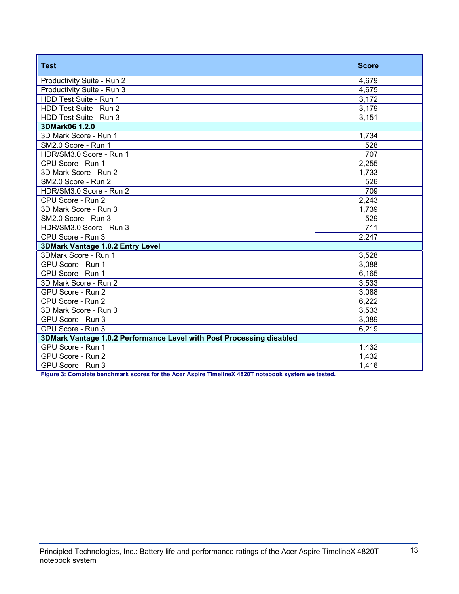| <b>Test</b>                                                          | <b>Score</b> |  |
|----------------------------------------------------------------------|--------------|--|
| Productivity Suite - Run 2                                           | 4,679        |  |
| Productivity Suite - Run 3                                           | 4,675        |  |
| HDD Test Suite - Run 1                                               | 3,172        |  |
| HDD Test Suite - Run 2                                               | 3,179        |  |
| HDD Test Suite - Run 3                                               | 3,151        |  |
| 3DMark06 1.2.0                                                       |              |  |
| 3D Mark Score - Run 1                                                | 1,734        |  |
| SM2.0 Score - Run 1                                                  | 528          |  |
| HDR/SM3.0 Score - Run 1                                              | 707          |  |
| CPU Score - Run 1                                                    | 2,255        |  |
| 3D Mark Score - Run 2                                                | 1,733        |  |
| SM2.0 Score - Run 2                                                  | 526          |  |
| HDR/SM3.0 Score - Run 2                                              | 709          |  |
| CPU Score - Run 2                                                    | 2,243        |  |
| 3D Mark Score - Run 3                                                | 1,739        |  |
| SM2.0 Score - Run 3                                                  | 529          |  |
| HDR/SM3.0 Score - Run 3                                              | 711          |  |
| CPU Score - Run 3                                                    | 2,247        |  |
| 3DMark Vantage 1.0.2 Entry Level                                     |              |  |
| 3DMark Score - Run 1                                                 | 3,528        |  |
| GPU Score - Run 1                                                    | 3,088        |  |
| CPU Score - Run 1                                                    | 6,165        |  |
| 3D Mark Score - Run 2                                                | 3,533        |  |
| GPU Score - Run 2                                                    | 3,088        |  |
| CPU Score - Run 2                                                    | 6,222        |  |
| 3D Mark Score - Run 3                                                | 3,533        |  |
| GPU Score - Run 3                                                    | 3,089        |  |
| CPU Score - Run 3                                                    | 6,219        |  |
| 3DMark Vantage 1.0.2 Performance Level with Post Processing disabled |              |  |
| GPU Score - Run 1                                                    | 1,432        |  |
| GPU Score - Run 2                                                    | 1,432        |  |
| GPU Score - Run 3                                                    | 1,416        |  |

**Figure 3: Complete benchmark scores for the Acer Aspire TimelineX 4820T notebook system we tested.**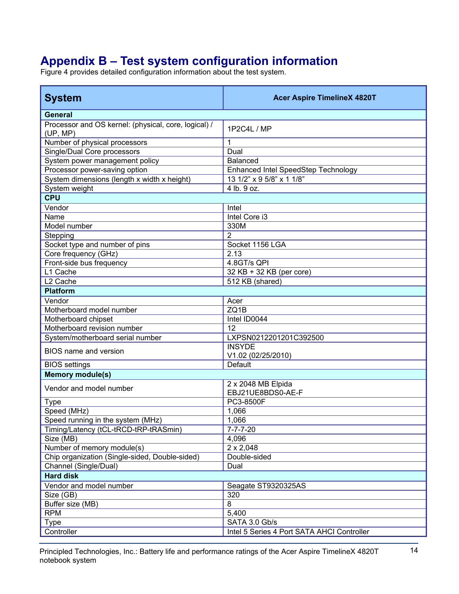# **Appendix B – Test system configuration information**

Figure 4 provides detailed configuration information about the test system.

| <b>System</b>                                                    | <b>Acer Aspire TimelineX 4820T</b>         |
|------------------------------------------------------------------|--------------------------------------------|
| <b>General</b>                                                   |                                            |
| Processor and OS kernel: (physical, core, logical) /<br>(UP, MP) | 1P2C4L / MP                                |
| Number of physical processors                                    | 1                                          |
| Single/Dual Core processors                                      | Dual                                       |
| System power management policy                                   | <b>Balanced</b>                            |
| Processor power-saving option                                    | Enhanced Intel SpeedStep Technology        |
| System dimensions (length x width x height)                      | 13 1/2" x 9 5/8" x 1 1/8"                  |
| System weight                                                    | 4 lb. 9 oz.                                |
| <b>CPU</b>                                                       |                                            |
| Vendor                                                           | Intel                                      |
| Name                                                             | Intel Core i3                              |
| Model number                                                     | 330M                                       |
| Stepping                                                         | $\mathfrak{p}$                             |
| Socket type and number of pins                                   | Socket 1156 LGA                            |
| Core frequency (GHz)                                             | 2.13                                       |
| Front-side bus frequency                                         | 4.8GT/s QPI                                |
| L1 Cache                                                         | 32 KB + 32 KB (per core)                   |
| L <sub>2</sub> Cache                                             | 512 KB (shared)                            |
| <b>Platform</b>                                                  |                                            |
| Vendor                                                           | Acer                                       |
| Motherboard model number                                         | ZQ1B                                       |
| Motherboard chipset                                              | Intel ID0044                               |
| Motherboard revision number                                      | 12                                         |
| System/motherboard serial number                                 | LXPSN0212201201C392500                     |
| <b>BIOS</b> name and version                                     | <b>INSYDE</b><br>V1.02 (02/25/2010)        |
| <b>BIOS</b> settings                                             | Default                                    |
| <b>Memory module(s)</b>                                          |                                            |
| Vendor and model number                                          | 2 x 2048 MB Elpida<br>EBJ21UE8BDS0-AE-F    |
| <b>Type</b>                                                      | <b>PC3-8500F</b>                           |
| Speed (MHz)                                                      | 1,066                                      |
| Speed running in the system (MHz)                                | 1,066                                      |
| Timing/Latency (tCL-tRCD-tRP-tRASmin)                            | $7 - 7 - 7 - 20$                           |
| Size (MB)                                                        | 4,096                                      |
| Number of memory module(s)                                       | $2 \times 2,048$                           |
| Chip organization (Single-sided, Double-sided)                   | Double-sided                               |
| Channel (Single/Dual)                                            | Dual                                       |
| <b>Hard disk</b>                                                 |                                            |
| Vendor and model number                                          | Seagate ST9320325AS                        |
| Size (GB)                                                        | 320                                        |
| Buffer size (MB)                                                 | 8                                          |
| <b>RPM</b>                                                       | 5,400                                      |
| <b>Type</b>                                                      | SATA 3.0 Gb/s                              |
| Controller                                                       | Intel 5 Series 4 Port SATA AHCI Controller |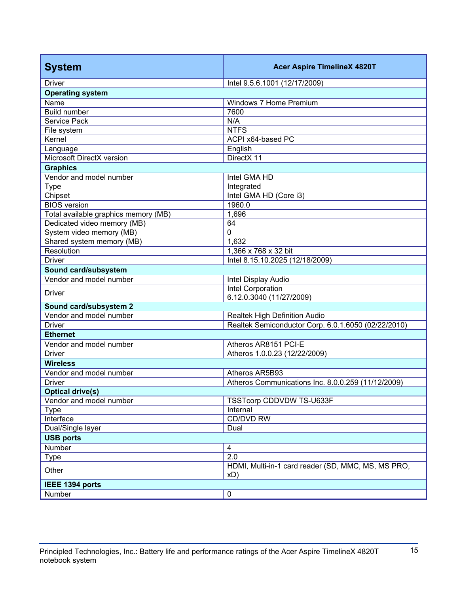| <b>System</b>                        | <b>Acer Aspire TimelineX 4820T</b>                  |  |
|--------------------------------------|-----------------------------------------------------|--|
| <b>Driver</b>                        | Intel 9.5.6.1001 (12/17/2009)                       |  |
| <b>Operating system</b>              |                                                     |  |
| Name                                 | Windows 7 Home Premium                              |  |
| <b>Build number</b>                  | 7600                                                |  |
| Service Pack                         | N/A                                                 |  |
| File system                          | <b>NTFS</b>                                         |  |
| Kernel                               | ACPI x64-based PC                                   |  |
| Language                             | English                                             |  |
| Microsoft DirectX version            | DirectX 11                                          |  |
| <b>Graphics</b>                      |                                                     |  |
| Vendor and model number              | Intel GMA HD                                        |  |
| <b>Type</b><br>Chipset               | Integrated<br>Intel GMA HD (Core i3)                |  |
| <b>BIOS</b> version                  | 1960.0                                              |  |
| Total available graphics memory (MB) | 1,696                                               |  |
| Dedicated video memory (MB)          | 64                                                  |  |
| System video memory (MB)             | $\mathbf 0$                                         |  |
| Shared system memory (MB)            | 1,632                                               |  |
| Resolution                           | 1,366 x 768 x 32 bit                                |  |
| <b>Driver</b>                        | Intel 8.15.10.2025 (12/18/2009)                     |  |
| Sound card/subsystem                 |                                                     |  |
| Vendor and model number              | Intel Display Audio                                 |  |
|                                      | Intel Corporation                                   |  |
| <b>Driver</b>                        | 6.12.0.3040 (11/27/2009)                            |  |
| Sound card/subsystem 2               |                                                     |  |
| Vendor and model number              | Realtek High Definition Audio                       |  |
| <b>Driver</b>                        | Realtek Semiconductor Corp. 6.0.1.6050 (02/22/2010) |  |
| <b>Ethernet</b>                      |                                                     |  |
| Vendor and model number              | Atheros AR8151 PCI-E                                |  |
| <b>Driver</b>                        | Atheros 1.0.0.23 (12/22/2009)                       |  |
| <b>Wireless</b>                      |                                                     |  |
| Vendor and model number              | Atheros AR5B93                                      |  |
| Driver                               | Atheros Communications Inc. 8.0.0.259 (11/12/2009)  |  |
| <b>Optical drive(s)</b>              |                                                     |  |
| Vendor and model number              | TSSTcorp CDDVDW TS-U633F                            |  |
| <b>Type</b>                          | Internal                                            |  |
| Interface                            | CD/DVD RW                                           |  |
| Dual/Single layer                    | Dual                                                |  |
| <b>USB ports</b><br><b>Number</b>    |                                                     |  |
|                                      | $\overline{4}$<br>2.0                               |  |
| <b>Type</b>                          | HDMI, Multi-in-1 card reader (SD, MMC, MS, MS PRO,  |  |
| Other                                | xD)                                                 |  |
| IEEE 1394 ports                      |                                                     |  |
| Number                               | $\pmb{0}$                                           |  |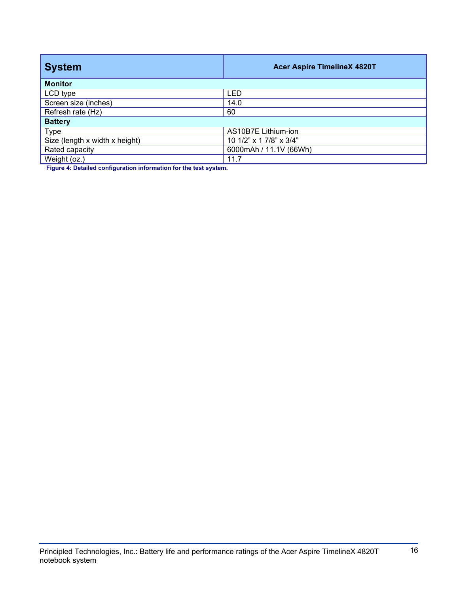| <b>System</b>                  | <b>Acer Aspire TimelineX 4820T</b> |  |
|--------------------------------|------------------------------------|--|
| <b>Monitor</b>                 |                                    |  |
| LCD type                       | <b>LED</b>                         |  |
| Screen size (inches)           | 14.0                               |  |
| Refresh rate (Hz)              | 60                                 |  |
| <b>Battery</b>                 |                                    |  |
| <b>Type</b>                    | AS10B7E Lithium-ion                |  |
| Size (length x width x height) | 10 1/2" x 1 7/8" x 3/4"            |  |
| Rated capacity                 | 6000mAh / 11.1V (66Wh)             |  |
| Weight (oz.)                   | 11.7                               |  |

**Figure 4: Detailed configuration information for the test system.**